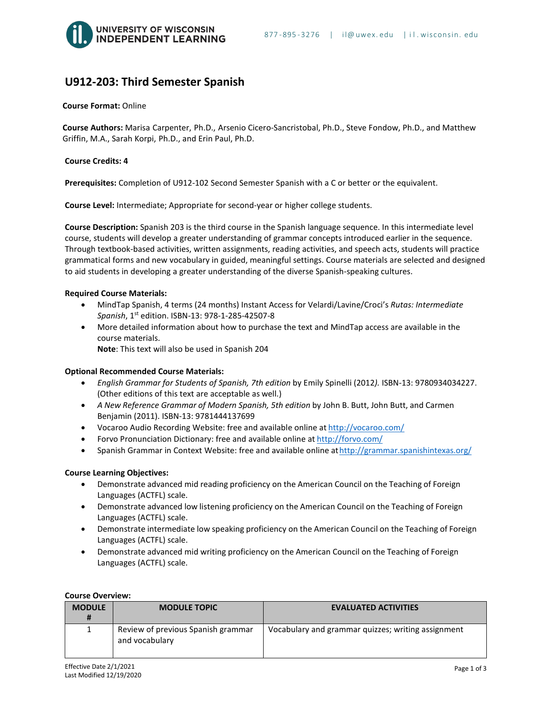# **U912-203: Third Semester Spanish**

## **Course Format:** Online

 **Course Authors:** Marisa Carpenter, Ph.D., Arsenio Cicero-Sancristobal, Ph.D., Steve Fondow, Ph.D., and Matthew Griffin, M.A., Sarah Korpi, Ph.D., and Erin Paul, Ph.D.

#### **Course Credits: 4**

**Prerequisites:** Completion of U912-102 Second Semester Spanish with a C or better or the equivalent.

**Course Level:** Intermediate; Appropriate for second-year or higher college students.

**Course Description:** Spanish 203 is the third course in the Spanish language sequence. In this intermediate level course, students will develop a greater understanding of grammar concepts introduced earlier in the sequence. Through textbook-based activities, written assignments, reading activities, and speech acts, students will practice grammatical forms and new vocabulary in guided, meaningful settings. Course materials are selected and designed to aid students in developing a greater understanding of the diverse Spanish-speaking cultures.

#### **Required Course Materials:**

- MindTap Spanish, 4 terms (24 months) Instant Access for Velardi/Lavine/Croci's *Rutas: Intermediate Spanish*, 1st edition. ISBN-13: 978-1-285-42507-8
- More detailed information about how to purchase the text and MindTap access are available in the course materials. **Note**: This text will also be used in Spanish 204

#### **Optional Recommended Course Materials:**

- *English Grammar for Students of Spanish, 7th edition* by Emily Spinelli (2012*).* ISBN-13: 9780934034227. (Other editions of this text are acceptable as well.)
- *A New Reference Grammar of Modern Spanish, 5th edition* by John B. Butt, John Butt, and Carmen Benjamin (2011). ISBN-13: 9781444137699
- Vocaroo Audio Recording Website: free and available online at <http://vocaroo.com/>
- Forvo Pronunciation Dictionary: free and available online at <http://forvo.com/>
- Spanish Grammar in Context Website: free and available online at http://grammar.spanishintexas.org/

#### **Course Learning Objectives:**

- Demonstrate advanced mid reading proficiency on the American Council on the Teaching of Foreign Languages (ACTFL) scale.
- Demonstrate advanced low listening proficiency on the American Council on the Teaching of Foreign Languages (ACTFL) scale.
- Demonstrate intermediate low speaking proficiency on the American Council on the Teaching of Foreign Languages (ACTFL) scale.
- Demonstrate advanced mid writing proficiency on the American Council on the Teaching of Foreign Languages (ACTFL) scale.

| <b>Course Overview:</b> |
|-------------------------|
|                         |

| <b>MODULE</b><br># | <b>MODULE TOPIC</b>                                  | <b>EVALUATED ACTIVITIES</b>                        |
|--------------------|------------------------------------------------------|----------------------------------------------------|
| 1                  | Review of previous Spanish grammar<br>and vocabulary | Vocabulary and grammar quizzes; writing assignment |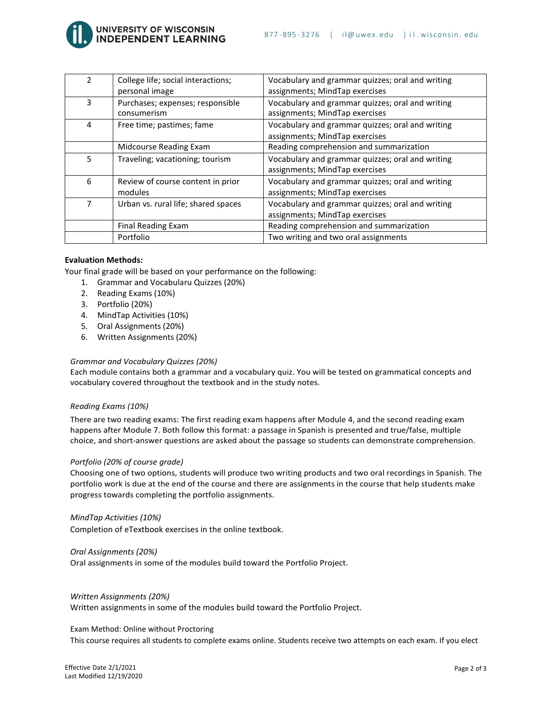

UNIVERSITY OF WISCONSIN<br>I<mark>NDEPENDENT LEARNING</mark>

| $\mathcal{P}$ | College life; social interactions;<br>personal image | Vocabulary and grammar quizzes; oral and writing<br>assignments; MindTap exercises |  |
|---------------|------------------------------------------------------|------------------------------------------------------------------------------------|--|
| 3             | Purchases; expenses; responsible<br>consumerism      | Vocabulary and grammar quizzes; oral and writing<br>assignments; MindTap exercises |  |
| 4             | Free time; pastimes; fame                            | Vocabulary and grammar quizzes; oral and writing<br>assignments; MindTap exercises |  |
|               | Midcourse Reading Exam                               | Reading comprehension and summarization                                            |  |
| 5.            | Traveling; vacationing; tourism                      | Vocabulary and grammar quizzes; oral and writing<br>assignments; MindTap exercises |  |
| 6             | Review of course content in prior<br>modules         | Vocabulary and grammar quizzes; oral and writing<br>assignments; MindTap exercises |  |
| 7             | Urban vs. rural life; shared spaces                  | Vocabulary and grammar quizzes; oral and writing<br>assignments; MindTap exercises |  |
|               | Final Reading Exam                                   | Reading comprehension and summarization                                            |  |
|               | Portfolio                                            | Two writing and two oral assignments                                               |  |

## **Evaluation Methods:**

Your final grade will be based on your performance on the following:

- 1. Grammar and Vocabularu Quizzes (20%)
- 2. Reading Exams (10%)
- 3. Portfolio (20%)
- 4. MindTap Activities (10%)
- 5. Oral Assignments (20%)
- 6. Written Assignments (20%)

#### *Grammar and Vocabulary Quizzes (20%)*

Each module contains both a grammar and a vocabulary quiz. You will be tested on grammatical concepts and vocabulary covered throughout the textbook and in the study notes.

#### *Reading Exams (10%)*

There are two reading exams: The first reading exam happens after Module 4, and the second reading exam happens after Module 7. Both follow this format: a passage in Spanish is presented and true/false, multiple choice, and short-answer questions are asked about the passage so students can demonstrate comprehension.

#### *Portfolio (20% of course grade)*

Choosing one of two options, students will produce two writing products and two oral recordings in Spanish. The portfolio work is due at the end of the course and there are assignments in the course that help students make progress towards completing the portfolio assignments.

#### *MindTap Activities (10%)*

Completion of eTextbook exercises in the online textbook.

#### *Oral Assignments (20%)*

Oral assignments in some of the modules build toward the Portfolio Project.

#### *Written Assignments (20%)*

Written assignments in some of the modules build toward the Portfolio Project.

#### Exam Method: Online without Proctoring

This course requires all students to complete exams online. Students receive two attempts on each exam. If you elect